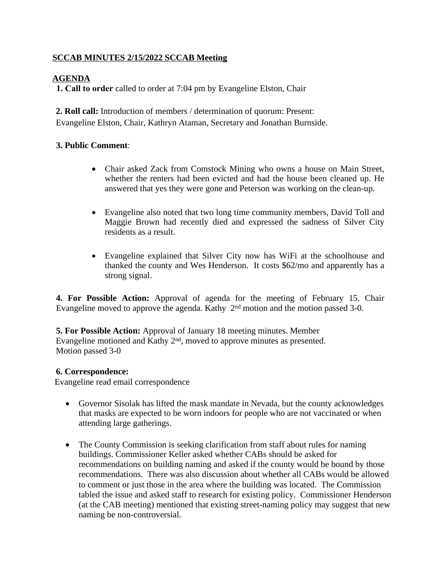## **SCCAB MINUTES 2/15/2022 SCCAB Meeting**

# **AGENDA**

**1. Call to order** called to order at 7:04 pm by Evangeline Elston, Chair

**2. Roll call:** Introduction of members / determination of quorum: Present: Evangeline Elston, Chair, Kathryn Ataman, Secretary and Jonathan Burnside.

## **3. Public Comment**:

- Chair asked Zack from Comstock Mining who owns a house on Main Street, whether the renters had been evicted and had the house been cleaned up. He answered that yes they were gone and Peterson was working on the clean-up.
- Evangeline also noted that two long time community members, David Toll and Maggie Brown had recently died and expressed the sadness of Silver City residents as a result.
- Evangeline explained that Silver City now has WiFi at the schoolhouse and thanked the county and Wes Henderson. It costs \$62/mo and apparently has a strong signal.

**4. For Possible Action:** Approval of agenda for the meeting of February 15. Chair Evangeline moved to approve the agenda. Kathy  $2<sup>nd</sup>$  motion and the motion passed 3-0.

**5. For Possible Action:** Approval of January 18 meeting minutes. Member Evangeline motioned and Kathy  $2<sup>nd</sup>$ , moved to approve minutes as presented. Motion passed 3-0

## **6. Correspondence:**

Evangeline read email correspondence

- Governor Sisolak has lifted the mask mandate in Nevada, but the county acknowledges that masks are expected to be worn indoors for people who are not vaccinated or when attending large gatherings.
- The County Commission is seeking clarification from staff about rules for naming buildings. Commissioner Keller asked whether CABs should be asked for recommendations on building naming and asked if the county would be bound by those recommendations. There was also discussion about whether all CABs would be allowed to comment or just those in the area where the building was located. The Commission tabled the issue and asked staff to research for existing policy. Commissioner Henderson (at the CAB meeting) mentioned that existing street-naming policy may suggest that new naming be non-controversial.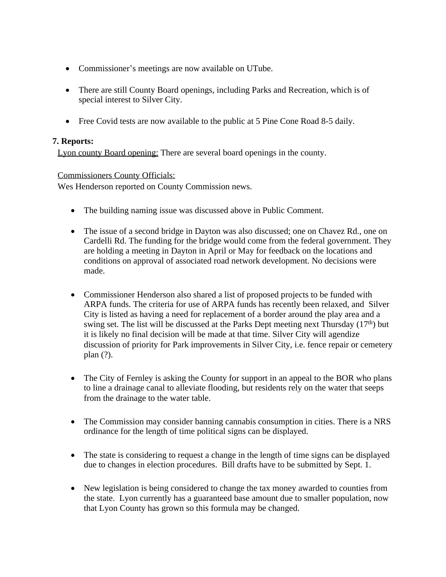- Commissioner's meetings are now available on UTube.
- There are still County Board openings, including Parks and Recreation, which is of special interest to Silver City.
- Free Covid tests are now available to the public at 5 Pine Cone Road 8-5 daily.

## **7. Reports:**

Lyon county Board opening: There are several board openings in the county.

## Commissioners County Officials:

Wes Henderson reported on County Commission news.

- The building naming issue was discussed above in Public Comment.
- The issue of a second bridge in Dayton was also discussed; one on Chavez Rd., one on Cardelli Rd. The funding for the bridge would come from the federal government. They are holding a meeting in Dayton in April or May for feedback on the locations and conditions on approval of associated road network development. No decisions were made.
- Commissioner Henderson also shared a list of proposed projects to be funded with ARPA funds. The criteria for use of ARPA funds has recently been relaxed, and Silver City is listed as having a need for replacement of a border around the play area and a swing set. The list will be discussed at the Parks Dept meeting next Thursday  $(17<sup>th</sup>)$  but it is likely no final decision will be made at that time. Silver City will agendize discussion of priority for Park improvements in Silver City, i.e. fence repair or cemetery plan (?).
- The City of Fernley is asking the County for support in an appeal to the BOR who plans to line a drainage canal to alleviate flooding, but residents rely on the water that seeps from the drainage to the water table.
- The Commission may consider banning cannabis consumption in cities. There is a NRS ordinance for the length of time political signs can be displayed.
- The state is considering to request a change in the length of time signs can be displayed due to changes in election procedures. Bill drafts have to be submitted by Sept. 1.
- New legislation is being considered to change the tax money awarded to counties from the state. Lyon currently has a guaranteed base amount due to smaller population, now that Lyon County has grown so this formula may be changed.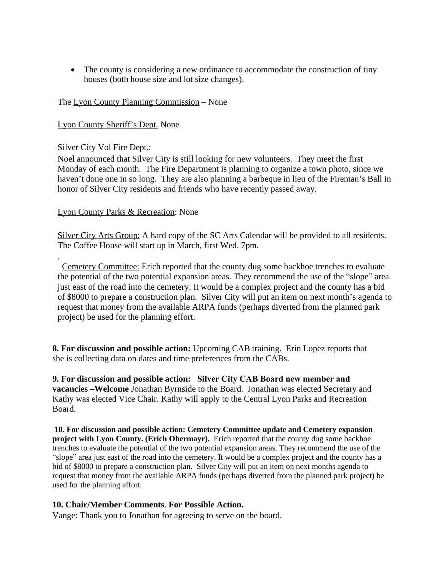The county is considering a new ordinance to accommodate the construction of tiny houses (both house size and lot size changes).

### The Lyon County Planning Commission – None

### Lyon County Sheriff's Dept. None

#### Silver City Vol Fire Dept.:

Noel announced that Silver City is still looking for new volunteers. They meet the first Monday of each month. The Fire Department is planning to organize a town photo, since we haven't done one in so long. They are also planning a barbeque in lieu of the Fireman's Ball in honor of Silver City residents and friends who have recently passed away.

### Lyon County Parks & Recreation: None

Silver City Arts Group: A hard copy of the SC Arts Calendar will be provided to all residents. The Coffee House will start up in March, first Wed. 7pm.

. Cemetery Committee: Erich reported that the county dug some backhoe trenches to evaluate the potential of the two potential expansion areas. They recommend the use of the "slope" area just east of the road into the cemetery. It would be a complex project and the county has a bid of \$8000 to prepare a construction plan. Silver City will put an item on next month's agenda to request that money from the available ARPA funds (perhaps diverted from the planned park project) be used for the planning effort.

**8. For discussion and possible action:** Upcoming CAB training. Erin Lopez reports that she is collecting data on dates and time preferences from the CABs.

**9. For discussion and possible action: Silver City CAB Board new member and vacancies –Welcome** Jonathan Byrnside to the Board. Jonathan was elected Secretary and Kathy was elected Vice Chair. Kathy will apply to the Central Lyon Parks and Recreation Board.

**10. For discussion and possible action: Cemetery Committee update and Cemetery expansion project with Lyon County. (Erich Obermayr).** Erich reported that the county dug some backhoe trenches to evaluate the potential of the two potential expansion areas. They recommend the use of the "slope" area just east of the road into the cemetery. It would be a complex project and the county has a bid of \$8000 to prepare a construction plan. Silver City will put an item on next months agenda to request that money from the available ARPA funds (perhaps diverted from the planned park project) be used for the planning effort.

### **10. Chair/Member Comments**. **For Possible Action.**

Vange: Thank you to Jonathan for agreeing to serve on the board.